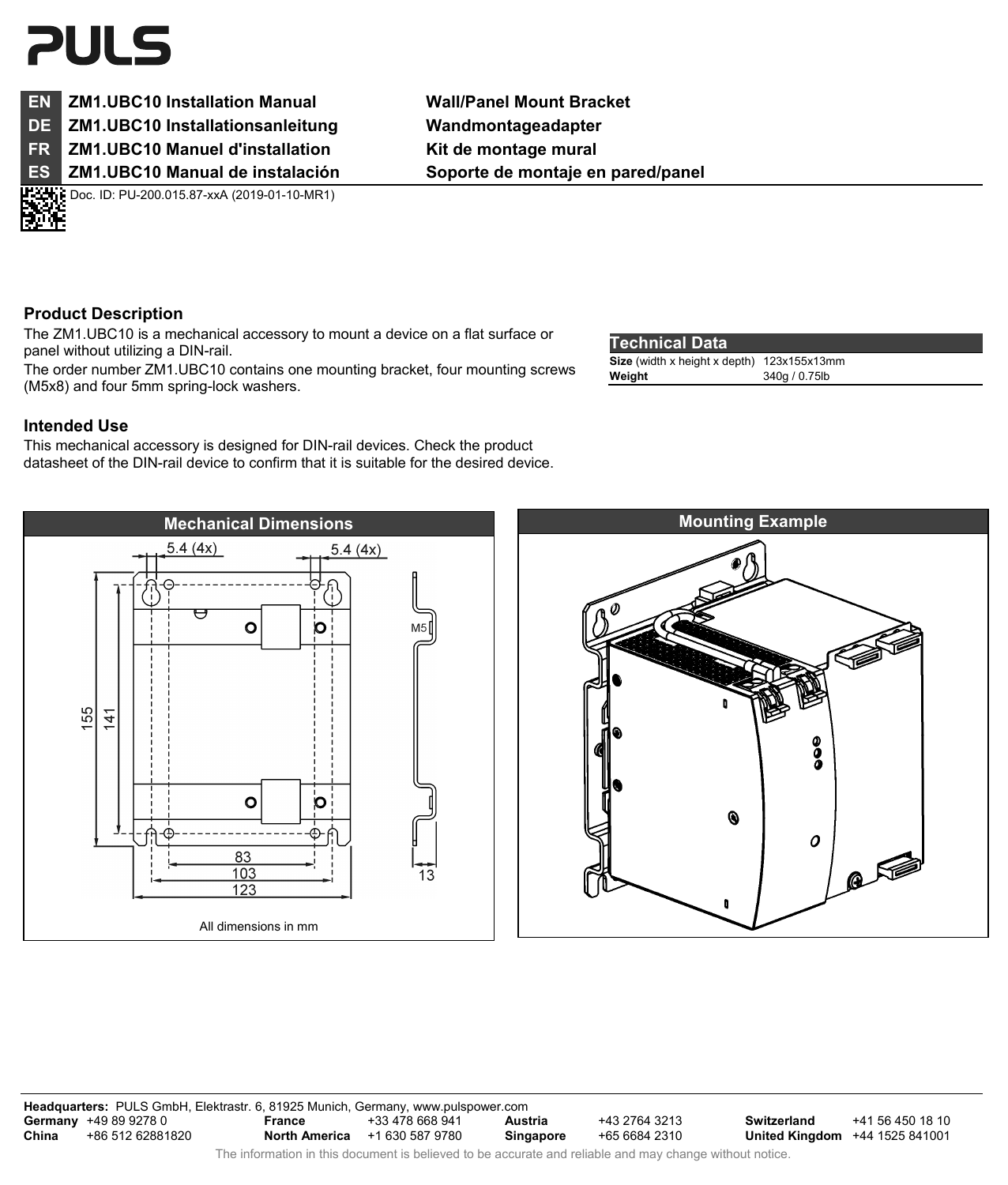# **PULS**

### **EN ZM1.UBC10 Installation Manual Wall/Panel Mount Bracket DE ZM1.UBC10 Installationsanleitung Wandmontageadapter**

**FR** ZM1.UBC10 Manuel d'installation Kit de montage mural

Doc. ID: PU-200.015.87-xxA (2019-01-10-MR1)

**ES ZM1.UBC10 Manual de instalación Soporte de montaje en pared/panel** 

## **Product Description**

The ZM1.UBC10 is a mechanical accessory to mount a device on a flat surface or panel without utilizing a DIN-rail.

The order number ZM1.UBC10 contains one mounting bracket, four mounting screws (M5x8) and four 5mm spring-lock washers.

## **Intended Use**

This mechanical accessory is designed for DIN-rail devices. Check the product datasheet of the DIN-rail device to confirm that it is suitable for the desired device.

#### **Technical Data**

| 1991119919969                              |               |
|--------------------------------------------|---------------|
| Size (width x height x depth) 123x155x13mm |               |
| Weight                                     | 340g / 0.75lb |





**Headquarters:** PULS GmbH, Elektrastr. 6, 81925 Munich, Germany, www.pulspower.com **Germany** +49 89 9278 0<br>**China** +86 512 62881 **China** +86 512 62881820 **France** +33 478 668 941 **North America** +1 630 587 9780 **Austria** +43 2764 3213<br>**Singapore** +65 6684 2310 **Singapore** +65 6684 2310 **Switzerland** +41 56 450 18 10 **United Kingdom** +44 1525 841001 The information in this document is believed to be accurate and reliable and may change without notice.